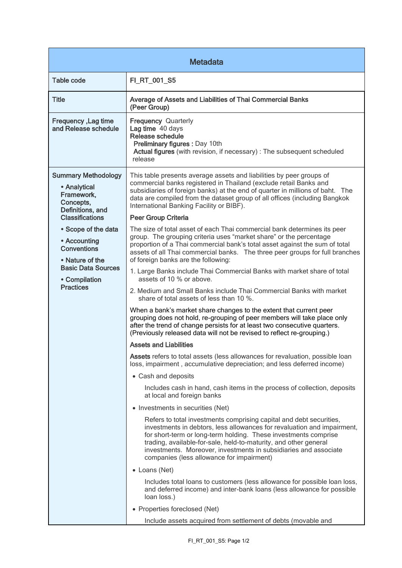| <b>Metadata</b>                                                                                                                                                                                                                                                       |                                                                                                                                                                                                                                                                                                                                                                                                        |  |
|-----------------------------------------------------------------------------------------------------------------------------------------------------------------------------------------------------------------------------------------------------------------------|--------------------------------------------------------------------------------------------------------------------------------------------------------------------------------------------------------------------------------------------------------------------------------------------------------------------------------------------------------------------------------------------------------|--|
| <b>Table code</b>                                                                                                                                                                                                                                                     | FI_RT_001_S5                                                                                                                                                                                                                                                                                                                                                                                           |  |
| <b>Title</b>                                                                                                                                                                                                                                                          | Average of Assets and Liabilities of Thai Commercial Banks<br>(Peer Group)                                                                                                                                                                                                                                                                                                                             |  |
| Frequency, Lag time<br>and Release schedule                                                                                                                                                                                                                           | <b>Frequency Quarterly</b><br>Lag time 40 days<br>Release schedule<br>Preliminary figures : Day 10th<br>Actual figures (with revision, if necessary) : The subsequent scheduled<br>release                                                                                                                                                                                                             |  |
| <b>Summary Methodology</b><br>• Analytical<br>Framework,<br>Concepts,<br>Definitions, and<br><b>Classifications</b><br>• Scope of the data<br>• Accounting<br><b>Conventions</b><br>• Nature of the<br><b>Basic Data Sources</b><br>• Compilation<br><b>Practices</b> | This table presents average assets and liabilities by peer groups of<br>commercial banks registered in Thailand (exclude retail Banks and<br>subsidiaries of foreign banks) at the end of quarter in millions of baht. The<br>data are compiled from the dataset group of all offices (including Bangkok<br>International Banking Facility or BIBF).                                                   |  |
|                                                                                                                                                                                                                                                                       | Peer Group Criteria                                                                                                                                                                                                                                                                                                                                                                                    |  |
|                                                                                                                                                                                                                                                                       | The size of total asset of each Thai commercial bank determines its peer<br>group. The grouping criteria uses "market share" or the percentage<br>proportion of a Thai commercial bank's total asset against the sum of total<br>assets of all Thai commercial banks. The three peer groups for full branches<br>of foreign banks are the following:                                                   |  |
|                                                                                                                                                                                                                                                                       | 1. Large Banks include Thai Commercial Banks with market share of total<br>assets of 10 % or above.                                                                                                                                                                                                                                                                                                    |  |
|                                                                                                                                                                                                                                                                       | 2. Medium and Small Banks include Thai Commercial Banks with market<br>share of total assets of less than 10 %.                                                                                                                                                                                                                                                                                        |  |
|                                                                                                                                                                                                                                                                       | When a bank's market share changes to the extent that current peer<br>grouping does not hold, re-grouping of peer members will take place only<br>after the trend of change persists for at least two consecutive quarters.<br>(Previously released data will not be revised to reflect re-grouping.)                                                                                                  |  |
|                                                                                                                                                                                                                                                                       | <b>Assets and Liabilities</b>                                                                                                                                                                                                                                                                                                                                                                          |  |
|                                                                                                                                                                                                                                                                       | Assets refers to total assets (less allowances for revaluation, possible loan<br>loss, impairment, accumulative depreciation; and less deferred income)                                                                                                                                                                                                                                                |  |
|                                                                                                                                                                                                                                                                       | • Cash and deposits                                                                                                                                                                                                                                                                                                                                                                                    |  |
|                                                                                                                                                                                                                                                                       | Includes cash in hand, cash items in the process of collection, deposits<br>at local and foreign banks                                                                                                                                                                                                                                                                                                 |  |
|                                                                                                                                                                                                                                                                       | • Investments in securities (Net)                                                                                                                                                                                                                                                                                                                                                                      |  |
|                                                                                                                                                                                                                                                                       | Refers to total investments comprising capital and debt securities,<br>investments in debtors, less allowances for revaluation and impairment,<br>for short-term or long-term holding. These investments comprise<br>trading, available-for-sale, held-to-maturity, and other general<br>investments. Moreover, investments in subsidiaries and associate<br>companies (less allowance for impairment) |  |
|                                                                                                                                                                                                                                                                       | • Loans (Net)                                                                                                                                                                                                                                                                                                                                                                                          |  |
|                                                                                                                                                                                                                                                                       | Includes total loans to customers (less allowance for possible loan loss,<br>and deferred income) and inter-bank loans (less allowance for possible<br>loan loss.)                                                                                                                                                                                                                                     |  |
|                                                                                                                                                                                                                                                                       | • Properties foreclosed (Net)                                                                                                                                                                                                                                                                                                                                                                          |  |
|                                                                                                                                                                                                                                                                       | Include assets acquired from settlement of debts (movable and                                                                                                                                                                                                                                                                                                                                          |  |